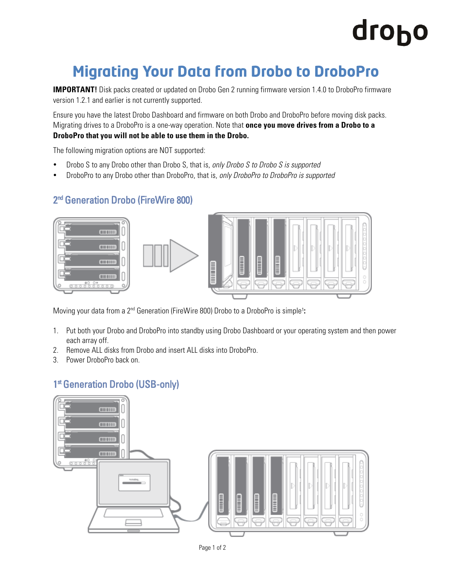## dropo

### **Migrating Your Data from Drobo to DroboPro**

**IMPORTANT!** Disk packs created or updated on Drobo Gen 2 running firmware version 1.4.0 to DroboPro firmware version 1.2.1 and earlier is not currently supported.

Ensure you have the latest Drobo Dashboard and firmware on both Drobo and DroboPro before moving disk packs. Migrating drives to a DroboPro is a one-way operation. Note that **once you move drives from a Drobo to a DroboPro that you will not be able to use them in the Drobo.**

The following migration options are NOT supported:

- Drobo S to any Drobo other than Drobo S, that is, *only Drobo S to Drobo S is supported*
- DroboPro to any Drobo other than DroboPro, that is, *only DroboPro to DroboPro is supported*

#### 2<sup>nd</sup> Generation Drobo (FireWire 800)







Moving your data from a 2<sup>nd</sup> Generation (FireWire 800) Drobo to a DroboPro is simple<sup>1</sup>:

- 1. Put both your Drobo and DroboPro into standby using Drobo Dashboard or your operating system and then power each array off.
- 2. Remove ALL disks from Drobo and insert ALL disks into DroboPro.
- 3. Power DroboPro back on.

#### 1st Generation Drobo (USB-only)



Page 1 of 2